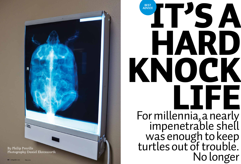

KNOCK For millennia, a nearly impenetrable shell turtles out of trouble.

# LIFE was enough to keep No longer

**BEST ADVICE**

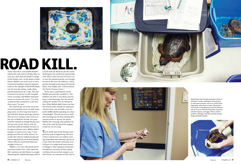



# *That's what first crossed Bill Mallett's*  ROAD KILL **.**<br>le

*mind in the early hours of Friday, May 10, 2013, on a drive from his family's cottage in Port Franks, Ont., on the shores of Lake Huron. Mallett was on his way to meet a friend for breakfast when he spotted a turtle on the shoulder of Northville Road, not far from the skinny, reedy, elbowjointed pond known as L Lake. The area is known to locals for its well-travelled turtle crossings, and Mallett had good reason to assume the worst. "I've seen 14 dead turtles around here in the last three years," he says.* 

*But when he got out of his car, he dis covered something worse: an adult snap ping turtle, two feet long from head to tail, still alive despite grotesque injuries. The top of its carapace had a hole in it the size of Mallett's thumb, not punc tured but sheared, as though sliced across the top with a knife. Worse still, the turtle had suffered multiple fractures to its upper and lower jaws. Mallett didn't imagine it could survive long. "I was going to put him out of his misery," he recalls. But when he walked around and tried to approach the turtle from behind, "that's when he turned and looked me straight in the eye."* 

*Mallett, a 70-year-old retired electri cian from London, Ont., who's spent his life's summers on Lake Huron, is a toughskinned, gentle-souled kind of guy, a bit of* 

*a turtle himself. When he and the turtle locked gazes, the world went momentarily still. That's when he knew he had to try to save the animal instead, even though he had no idea how. He called 911, which put him through to the Ontario Provincial Police, who simply said, "Call the Kawar tha Turtle Trauma Centre."* 

*If any place could help his turtle, Mallett guessed, this would be it. The problem was that it was about 400 km away in Peterborough, Ont. He started calling the number the OPP had given him. What Mallett didn't know was that the trauma centre, despite its impressive clinical name, was actually a not-forprofit wildlife shelter operating on a shoe string budget. The lone person on staff that morning was too busy looking after injured turtles to answer the phone. Mallett left a message and waited by the side of the road. He feared the snapper would not survive long.*

*Turtle shells may be the Triassic era's greatest work of engineering. The first turtles evolved some 220 million years ago, long before most dinosaur species, at a time when the earth's continents were still part of a single land mass known as Pangaea. Their signature mutations included an extension of their spinal vertebrae into an arched carapace over their backs, an extension of their ribs to* 



Veterinarian Sue Carstairs prepares a dose of antibiotic. Turtles waiting for assessment, or with open wounds, rest on a comfy towel (opposite), rather than in water. Assessment can include a swab (below) to test for infection and an X-ray to check for fish hooks, fractures, internal injuries, and eggs. Above, turtles (visible or hiding), with their records and any drugs and fluids needed.

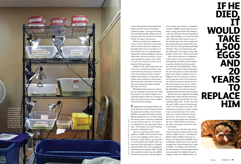*create a flat plastron underneath their bellies, and the fusion of the bones around the edges—moving everything else, including shoulder blades and col larbones, from the outside to the inside of their rib cages in the process.* 

*When an evolutionary adaptation works, it sticks. The fossil record shows that the turtle shell has changed sur prisingly little since its emergence. It hasn't had to. In 2013 a photographer captured an American alligator, a species whose bites can exert pressure of up to 2,900 pounds per square inch, trying to crack a live turtle in its jaws for 15 minutes before giving up.* 

*Thanks to that shell, turtles have sur vived every competitor, predator, trap, continental rift, and mass-extinction event since Mesozoic times. Turtles predate Tyrannosaurus rex by about 135 million years, and they're still around. Slow and steady really does win the race. They are among the hardiest reptiles that have ever lived.* 

*Bill Mallett didn't know any of that. He was standing on the side of the road, hovering over an injured snapper with which he'd made a silent pact, waiting for help. The turtle trauma centre couldn't call him back fast enough.*

*It happened to be Lindsay Maxim, one of the Kawartha Turtle Trauma Centre's few paid staff members, who retrieved Mallett's message that Friday morning. Maxim brought the news to Kate Siena, the trauma centre's executive coordinator, as soon as Siena came in. "It was obvi ous that Bill was very concerned," Siena says. "To be honest, we weren't looking forward to calling him back."* 

*There is a stereotype that's often applied to wildlife conservationists: they are raccoon-hugging recluses who, in their tiny, smelly shelters, get along bet ter with animals than people. Siena, 44, does not fit this description. A happily married mother of two, she is gregarious with friends and strangers alike. Though she's worked her whole career in wildlife conservation and has a special rapport* 

*with animals, she remains a committed* 

*scientist. Wildlife conservation, for her, is about ecology and biodiversity. Maxim, a 28-year-old Trent University graduate who studied biology, is cut from the same cloth. They don't give names to any of the animals they treat. They assign num bers instead, because it keeps them, and their volunteers, from getting emotionally attached. "They are wild animals, and the whole point is for them to stay wild animals," Siena says. "They are not pets." Since Siena took over as coordinator of the centre in 2010, it's gone from treating about 50 turtles a year to admit ting more than 800 turtles annually for treatment and rehabilitation. That's a lot of turtle trauma. Siena, having seen the worst the species can bear, has devel oped a very clinical, cutthroat sense of judgment. Her first question is always: can we help this turtle? If the answer is yes, she'll move heaven and earth for it. But if the answer is no, it's no—which can be devastating to roadside rescuers like Bill Mallett, who often develop an emotional bond with the injured animal. Maxim drew the assignment of calling Mallett back. When she did, she learned that his snapper was still alive. Yes, they could help this turtle—in fact, they were the only wildlife centre in Ontario that could—but they had to move fast. "We usually give ourselves a 24-hour window to get an injured turtle to the centre," Siena says, so they'd already lost pre cious time. "If the turtle is still alive, then it's not the injuries that will kill it," she says. "What'll kill it is infection,* 

*the shock of the pain, and the fact that it can't drink."* 

*In recent years, the Kawartha Turtle Trauma Centre has trained staff at other Ontario wildlife centres—including the Rideau Valley Wildlife Sanctuary in Ottawa, the Sandy Pines Wildlife Centre in Napanee, and the soon-to-be-opened Georgian Bay Turtle Hospital just south of Orillia—to stabilize injured turtles for safe transport to Peterborough. Maxim recommended that Mallett bring the snapper to Heaven's Wildlife Rescue in* 

IF HE DIED. WOULD TAKE 1,500 **EGGS** AND 20 **YEARS** TO REPLACE HIM



PHOTO THIS PAGE COURTESY THE KAWARTHA TURTLE TRAUMA CENTRE



 $-037$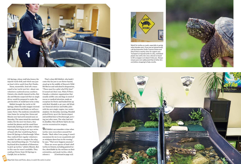

*Oil Springs, whose staff also knows the injured-turtle drill, and which was just an hour's drive south from Port Franks.* 

*Siena, meanwhile, fired off a mass email to her turtle taxi list—about 100 volunteers scattered across southern Ontario who shuttle injured turtles. But she and Maxim suspected that no single driver would be prepared to make the 400 km drive. It would have to be a relay.* 

*Mallett brought the turtle to Oil Springs, where the male snapper received pain medication and fluids, as well as a name: Porter. The medicine extended the time frame for saving him: Siena and Maxim now had until around noon on Saturday. The name raised the emotional stakes. For the next two hours, they worked the phones and the email lines frantically, barking at each other without missing a beat, trying to set up a series of hand-offs that would bring Porter from Oil Springs to Peterborough. When they realized their regular volunteers wouldn't be able to complete the relay, they started branching out. "I've had my boyfriend drive hundreds of kilometres to pick up turtles," admits Maxim. But in this case he wasn't available. They could get Porter from Oil Springs to Guelph, but no farther.* 

*That's when Bill Mallett, who hadn't come this far just to see Porter buried, stood up in the middle of Heaven's Wild life Rescue and said aloud in desperation, "There must be a pilot who'll fly him!" It turned out there was. Pilots N Paws Canada, a volunteer organization that usually airlifts cats and dogs in need of rescue or medical attention, made an exception for Porter and hooked him up with Rick Woodall, a 46-year-old Wind sor financial advisor and hobby pilot with his own single-engine, two-seater airplane. On Saturday morning, Woodall picked Porter up at the Sarnia airport and airlifted him to Peterborough, arriv ing just after noon. The relay had met its deadline. Now all Porter had to do was survive reconstructive surgery.*

*Bill Mallett can remember a time when turtles were everywhere around Port Franks. "Back when I was young, it wasn't uncommon for me to see 25 painteds and 10 stinkpots down here in the evening," he says. "That never happens anymore."* 

*There are seven species of hard-shell turtles in Ontario, including painted tur tles, identifiable by the red lines on their extremities, and musk turtles, which release a { Continued on page 107  }*



Watch for turtles on roads, especially in spring, when females nest. If you see an injured turtle, call the Kawartha Turtle Trauma Centre and they'll find a nearby clinic for urgent care. Transport an injured turtle in a dry, ventilated plastic box with a lid. Use a shovel or board to lift a snapper so it doesn't bite you. Always ensure your own safety (and that of other driv ers) before stopping to help a turtle.



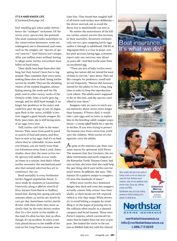### **IT'S A HARD KNOCK LIFE**

*{ Continued from page 70 }*

*foul-smelling goo when under threat hence the "stinkpot" nickname. Of the seven, every species but the painteds (the most common) ranks somewhere on the conservation barometer: some are endangered, one is threatened, and some, such as the snapper, are "species of special concern." And Ontario isn't unique. After 220 million years without having to adapt anew, turtles everywhere have fallen on hard times.*

*Their shells have kept them alive this long, but they haven't been fun to lug around. They constrain their every move, making them slow on land. Young turtles survive by stealth. They are the shrinking violets of the animal kingdom, always hiding among the reeds and the lily pads, and in other messy nooks of the Ontario wilds. Once a turtle gets big enough, and its shell hard enough, it no longer has predators in the water, and could live past the age of 100. In Algonquin Park in the 1970s, wildlife scientists tagged a giant female snapper, B7. Forty years later, she is still laying nests of 40 eggs every year.* 

*Still, turtles can't hide in the water forever. They move from pond to pond in search of food and mates, and they have to nest to lay eggs. And it's on land where they're vulnerable. Across southern Ontario, you are rarely more than two kilometres away from a road. Some studies show that the most active turtle species will amble across roads 20 times in a season. And that's where turtles encounter the mechanized predator that natural selection has yet to counteract: the car.* 

*Road mortality is every freshwater turtle's biggest population threat. A 2010 study by students at Laurentian University along a 388 km stretch of Hwy. 69/400 from Barrie to Sudbury found that, during late spring and early summer, about 22 turtles are struck by cars per day. Sometimes turtles startle drivers with their sloth: they move so slowly that, by the time drivers realize that it's a live turtle in the middle of the road, it's often too late. Just as often, though, it's no accident. In 2007, scientists placed decoys in the middle of the road on the Long Point causeway near* 

*Lake Erie. They found that roughly half of all turtle road strikes were deliberate the driver swerved, not to avoid the decoy, but to intentionally run over it.* 

*No matter the motivations of the killers, turtles cannot survive this increase in their mortality. Scientists estimate only one in 1,500 snapping turtle eggs makes it through to adulthood. Old B7 in Algonquin Park is a case in point: over her past 40 years laying eggs, scientists report only one survivor, now about 35 years old—and that turtle came from an incubated egg.* 

*"There are lots of baby turtles every spring, but nature did not intend for most of them to survive," says Siena. They are like canapés for predators: small and served frequently. "Nature did, however, intend for the adults to live a long, long time in order to keep the reproduction cycle robust. The adults aren't supposed to die at this rate, and the species can't afford to lose them."*

*Snappers take 20 years to reach sexual maturity, about seven years longer than humans. If Porter died, it would take 1,500 eggs and 20 years to replace him in the breeding-adult snapper population—a steep uphill battle for a species in decline. If you were trying to protect the human race from extinction, you'd save the children. With turtles it's the opposite: save the adults.* 

*As grim as the statistics are, there was some reason for optimism with Porter. The moment that Sue Carstairs, the resident veterinarian and turtle surgeon at the Kawartha Turtle Trauma Centre, laid eyes on him, she knew that she could help. For one thing, she'd seen turtles survive much worse. In addition, she says, "His injuries fit a pattern unique to snappers. I'd seen this hundreds of times."* 

*When most turtles face imminent danger, they duck and cover, but snappers actually cannot fully retract into their shells, so their heads are left exposed (which is why they snap). When drivers try to avoid hitting a snapper by straddling it, in the hopes of passing over it, the collision often results in a sheared carapace and facial trauma. These were Porter's injuries, which convinced Carstairs that he hadn't been run over on purpose. She looked the turtle in the eye just as Mallett had, but with the clinical* 



runabouts, water ski and wakeboard boats, pontoon boats, fishing rigs, sailboats, cruisers and PWCs. Call Northstar today and enjoy boating anywhere in Ontario knowing you're covered. It's what we do.

Ontario's **Marine Specialist** Head office



northstarinsurance.ca info@northstarinsurance.ca 1.866.717.9295